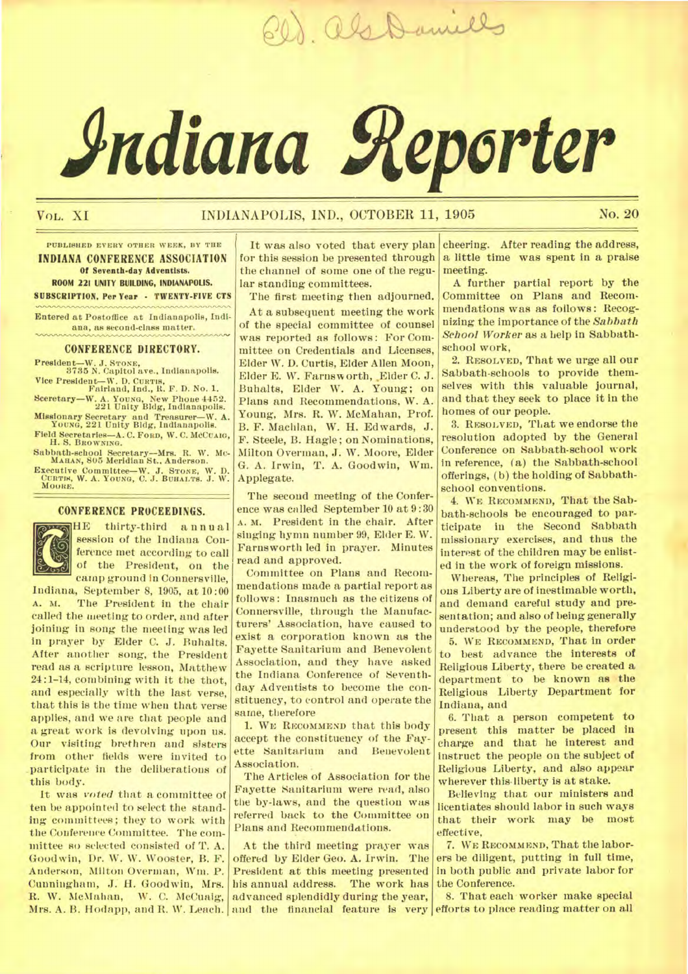20) als Daniels

# **Adiana geperter**

# VOL. XI INDIANAPOLIS, IND., OCTOBER 11, 1905 No. 20

**PUBLISHED EVERY OTHER WEEK, BY THE INDIANA** CONFERENCE ASSOCIATION **Of Seventh-day Adventists. ROOM 221 UNITY BUILDING, INDIANAPOLIS. SUBSCRIPTION, Per Year - TWENTY-FIVE CTS** 

**Entered at Postoffice at Indianapolis, Indiana, as second-class matter.** 

# **CONFERENCE DIRECTORY.**

**President—W. J. STONE, 3785 N. Capitol ave., Indianapolis. Vice President—W. D. CURTIS, Fairland, Ind., R. F. D. No. 1.** 

**Sceretary—W. A. YOUNG, New Phoue 4452. 221 Unity Bldg, Indianapolis. Missionary Secretary and Treasurer—W. A. YOUNG, 221 Unity Bldg, Indianapolis. Field Secretaries—A. C. FORD, W. C. MCCUAm, H. S. BROWNING.** 

**Sabbath-school Secretary—Mrs. R. W. Mc-MAHAN, 805 Meridian St.. Anderson. Executive Committee—W. J. STONE, W. D. CURTIS, W. A. YOUNG, C. J. BUHALTS. J. W. MOORE.** 

# **CONFERENCE PROCEEDINGS.**



UNTERENCE PROCEEDINGS. session of the Indiana Conference met according to call of the President, on the camp ground in Connersville,

Indiana, September 8, 1905, at 10:00 The President in the chair called the meeting to order, and after joining in song the meeting was led in prayer by Elder C. J. Buhalts. After another song, the President read as a scripture lesson, Matthew 24:1-14, combining with it the thot, and especially with the last verse, that this is the time when that verse applies, and we are that people and a great work is devolving upon us. Our visiting brethren and sisters from other fields were invited to .participate in the deliberations of this body.

It was *voted* that a committee of ten be appointed to select the standing committees; they to work with the Conference Committee. The committee so selected consisted of T. A. Goodwin, Dr. W. W. Wooster, B. *F.*  Anderson, Milton Overman, Wm. P. Cunningham, J.. H. Goodwin, Mrs. R. W. McMahan, W. C. McCuaig, Mrs. A. B. Hodapp, and R. W. Leach.

It was also voted that every plan for this session be presented through the channel of some one of the regular standing committees.

The first meeting then adjourned. At a subsequent meeting the work of the special committee of counsel was reported as follows: For Committee on Credentials and Licenses, Elder W. D. Curtis, Elder Allen Moon, Elder E. W. Farnsworth, Elder C. J. Buhalts, Elder W. A. Young; on Plans and Recommendations, W. A. Young, Mrs. R. W. McMahan, Prof. B. F. Machlan, W. **H.** Edwards, J. F. Steele, B. Hagle; on Nominations, Milton Overman, J. W. Moore, Elder G. A. Irwin, T. A. Goodwin, Wm. Applegate.

The second meeting of the Conference was called September 10 at 9:30 **A.** M. President in the chair. After singing hymn number 99, Elder E. W. Farnsworth led in prayer. Minutes read and approved.

Committee on Plans and Recommendations made a partial report as follows: Inasmuch as the citizens of Connersville, through the Manufacturers' Association, have caused to exist a corporation known as the Fayette Sanitarium and Benevolent Association, and they have asked the Indiana Conference of Seventhday Adventists to become the constituency, to control and operate the same, therefore

1. WE **RECOMMEND** that this body accept the constituency of the Fayette Sanitarium and Benevolent Association.

The Articles of Association for the Fayette Sanitarium were read, also the by-laws, and the question was referred back to the Committee on Plans and Recommendations.

At the third meeting prayer was offered by Elder Geo. A. Irwin. The President at this meeting presented his annual address. The work has advanced splendidly during the year, and the financial feature is very

cheering. After reading the address, a little time was spent in a praise meeting.

A further partial report by the Committee on Plans and Recommendations was as follows: Recognizing the importance of the *Sabbath School Worker as* a help in Sabbathschool work,

**2. RESOLVED,** That we urge all our Sabbath-schools to provide themselves with this valuable journal, and that they seek to place it in the homes of our people.

**3. RESOLVED,** That we endorse the resolution adopted by the General Conference on Sabbath-school work in reference, (a) the Sabbath-school offerings, (b) the holding of Sabbathschool conventions.

**4. WE RECOMMEND,** That the Sabbath-schools be encouraged to participate in the Second Sabbath missionary exercises, and thus the interest of the children may be enlisted in the work of foreign missions.

Whereas, The principles of Religions Liberty are of inestimable worth, and demand careful study and presentation; and also of being generally understood by the people, therefore **5. WE RECOMMEND,** That in order

to best advance the interests of Religious Liberty, there be created a department to be known as the Religious Liberty Department for Indiana, and

6. That a person competent to present this matter be placed in charge and that he interest and instruct the people on the subject of Religious Liberty, and also appear wherever this-liberty is at stake.

Believing that our ministers and licentiates should labor in such ways that their work may be most effective,

**7. WE RECOMMEND,** That tile laborers be diligent, putting in full time, in both public and private labor for the Conference.

8. That each worker make special efforts to place reading matter on all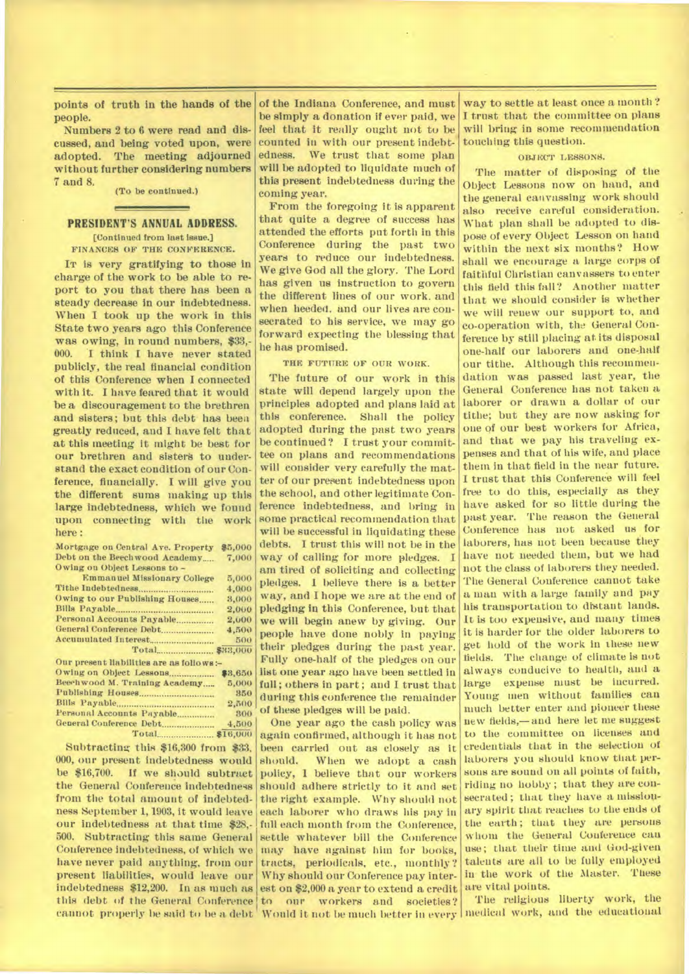**points of truth in the hands of the people.** 

**Numbers 2 to 6 were read and discussed, and being voted upon, were adopted. The meeting adjourned without further considering numbers 7 and 8.** 

**(To be continued.)** 

# **PRESIDENT'S ANNUAL ADDRESS.**

**[Continued from last issue.] FINANCES OF THE CONFERENCE.** 

**IT is very gratifying to those in charge of the work to be able to report to you that there has been a steady decrease in our indebtedness. When I took up the work in this State two years ago this Conference was owing, in round numbers, \$33,- 000. I think I have never stated publicly, the real financial condition of this Conference when I connected with it. I have feared that it would be a discouragement to the brethren and sisters; but this debt has been greatly reduced, and I have felt that at this meeting It might be best for our brethren and sisters to understand the exact condition of our Conference, financially. I will give you the different sums making up this large indebtedness, which we found upon connecting with the work here :** 

**Mortgage on Central Are. Property \$5,000 Debt on the Beech wood Academy\_\_ 7,000 Owing on Object Lessons to -** 

| <b>Emmanuel Missionary College</b> | 5,000            |
|------------------------------------|------------------|
|                                    | 4.000            |
| Owing to our Publishing Houses     | 3,000            |
|                                    | 2,000            |
| Personal Accounts Payable          | 2,000            |
| General Conference Debt            | 4,500            |
|                                    | 500 <sup>1</sup> |
|                                    |                  |

| Our present liabilities are as follows :- |         |
|-------------------------------------------|---------|
| Owing on Object Lessons                   | \$3,650 |
| Beechwood M. Training Academy             | 5,000   |
|                                           | 850     |
|                                           | 2,500   |
| Personal Accounts Payable                 | 300     |
| General Conference Debt                   | 4,500   |
|                                           |         |

**Subtracting this \$16,300 from \$33, 000, our present indebtedness would**  If we should subtract **the General Conference indebtedness from the total amount of indebtedness September 1, 1903, it would leave our indebtedness at that time \$28,- 500. Subtracting this same General Conference indebtedness, of which we have never paid anything, from our present liabilities, would leave our indebtedness \$12,200. In as much as cannot properly be said to be a debt Would it not be much better in every medical work, and the educational** 

**of the Indiana Conference, and must be simply a donation if ever paid, we feel that it really ought not to be counted in with our present indebtedness. We trust that some plan will be adopted to liquidate much of this present indebtedness during the coming year.** 

**From the foregoing it is apparent that quite a degree of success has attended the efforts put forth in this Conference during the past two years to reduce our indebtedness. We** *give* **God all the glory. The Lord has given us instruction to govern the different lines of our work, and when heeded, and our lives are consecrated to his service, we may go forward expecting the blessing that he has promised.** 

## **THE FUTURE OF OUR WORK.**

**The future of our work in this state will depend largely upon the principles adopted and plans laid at this conference. Shall the policy adopted during the past two years be continued? I trust your committee on plans and recommendations will consider very carefully the matter of our present indebtedness upon the school, and other legitimate Conference indebtedness, and bring in some practical recommendation that will be successful in liquidating these debts. I trust this will not be in the way of calling for more pledges. I am tired of soliciting and collecting pledges. I believe there is a better**  way, and I hope we are at the end of **pledging in this Conference, but that we will begin anew by giving. Our people have done nobly in paying their pledges during the past year.**  Fully one-half of the pledges on our **list one year ago have been settled in full; others in part; and I trust that during this conference the remainder of these pledges will be paid.** 

**this debt of the General Conference to our workers and societies? One year ago the cash policy was again confirmed, although it has not been carried out as closely as it should.** When we adopt a cash When we adopt a cash **policy, 1 believe that our workers should adhere strictly to it and set the right example. Why should not each laborer who draws his pay in full each month from the Conference, settle whatever bill the Conference may have against him for books, tracts, periodicals, etc., monthly ? Why should our Conference pay interest on \$2,000 a year to extend a credit** 

**way to settle at least once a month ? I trust that the committee on plans will bring in some recommendation touching this question.** 

# **OBJECT LESSONS.**

**The matter of disposing of the Object Lessons now on hand, and the general canvassing work should also receive careful consideration. What plan shall be adopted to dispose of every Object Lesson on hand within the next six months? How shall we encourage a large corps of faithful Christian canvassers to enter this field this fail? Another matter that we should consider is whether we will renew our support to, and co-operation with, the General Conference by still placing at its disposal one-half our laborers and one-half our tithe. Although this recommendation was passed last year, the General Conference has not taken a laborer or drawn a dollar of our tithe; but they are now asking for one of our best workers for Africa, and that we pay his traveling expenses and that of his wife, and place them in that field in the near future. I trust that this Conference will feel free to do this, especially as they have asked for so little during the past year. The reason the General Conference has not asked us for laborers, has not been because they have not needed them, but we had not the class of laborers they needed. The General Conference cannot take a man with a large family and pay his transportation to distant lands.**  It is too expensive, and many times **it is harder for the older laborers to get hold of the work in these new fields. The change of climate is not always conducive to health, and a large expense must be incurred. Young men without families can much better enter and pioneer these new fields,—and here let me suggest to the committee on licenses and credentials that in the selection of laborers you should know that persons are sound on all points of faith, riding no hobby ; that they are consecrated ; that they have a missionary spirit that reaches to the ends of the earth ; that they are persons whom the General Conference can use; that their time and God-given talents are all to be fully employed in the work of tile Master. These are vital points.** 

**The religious liberty work, the**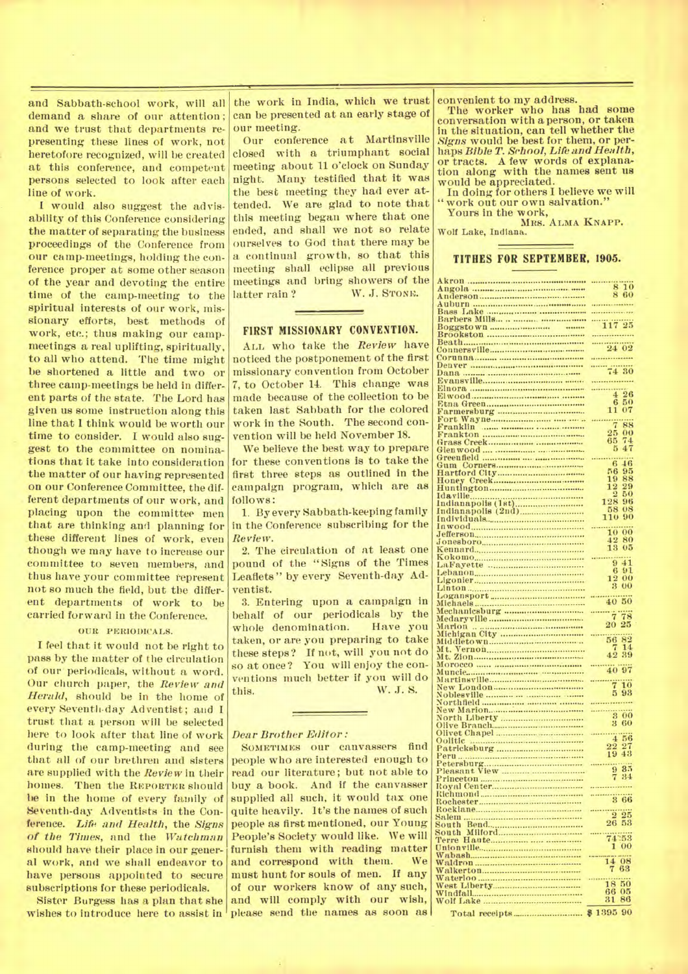and Sabbath-school work, will all demand a share of our attention ; and we trust that departments representing these lines of work, not heretofore recognized, will be created at this conference, and competent persons selected to look after each line of work.

I would also suggest the advisability of this Conference considering the matter of separating the business proceedings of the Conference from our camp-meetings, holding the conference proper at some other season of the year and devoting the entire time of the camp-meeting to the spiritual interests of our work, missionary efforts, best methods of work, etc.; thus making our campmeetings a real uplifting, spiritually, to all who attend. The time might be shortened a little and two or three camp-meetings be held in different parts of the state. The Lord has given us some instruction along this line that I think would be worth our time to consider. I would also suggest to the committee on nominations that it take into consideration the matter of our having represented on our Conference Committee, the dif- . ferent departments of our work, and placing upon the committee men that are thinking and planning for these different lines of work, even though we may have to increase our committee to seven members, and thus have your committee represent not so much the field, but the differ. ent departments of work to be carried forward in the Conference.

# OUR PERIODICALS.

I feel that it would not be right to pass by the matter of the circulation of our periodicals, without a word. Our church paper, the *Review and Herald,* should be in the home of every Seventh-day Adventist; and I trust that a person will be selected here to look after that line of work during the camp-meeting and see that all of our brethren and sisters are supplied with the *Review* in their homes. Then the REPORTER should be in the home of every family of Seventh-day Adventists in the Conference. *Life and Health,* the *Signs of the Times,* and the *Watchman*  should have their place in our general work, and we shall endeavor to have persons appointed to secure subscriptions for these periodicals.

Sister Burgess has a plan that she

the work in India, which we trust can be presented at an early stage of our meeting.

Our conference at Martinsville closed with a triumphant social meeting about 11 o'clock on Sunday night. Many testified that it was the best meeting they had ever attended. We are glad to note that this meeting began where that one ended, and shall we not so relate ourselves to God that there may be a continual growth, so that this meeting shall eclipse all previous meetings and bring showers of the latter rain ? W. J. STONE.

# **FIRST MISSIONARY CONVENTION.**

ALL who take the *Review* have noticed the postponement of the first missionary convention from October 7, to October 14. This change was made because of the collection to be taken last Sabbath for the colored work in the South. The second convention will be held November 18.

We believe the best way to prepare for these conventions is to take the first three steps as outlined in the campaign program, which are as follows:

1. By every Sabbath-keeping family in the Conference subscribing for the *Review.* 

2. The circulation of at least one pound of the "Signs of the Times Leaflets" by every Seventh-day Adventist.

3. Entering upon a campaign in behalf of our periodicals by the<br>whole denomination. Have you whole denomination. taken, or are you preparing to take these steps? If not, will you not do so at once? You will enjoy the conventions much better if you will do this. W. J. S.

### *Dear Brother Editor :*

wishes to introduce here to assist in please send the names as soon as SOMETIMES our canvassers find people who are interested enough to read our literature; but not able to buy a book. And if the canvasser supplied all such, it would tax one quite heavily. It's the names of such people as first mentioned, our Young People's Society would like. We will furnish them with reading matter and correspond with them. We must hunt for souls of men. If any of our workers know of any such, and will comply with our wish,

convenient to my address.

The worker who has had some conversation with a person, or taken in the situation, can tell whether the *Signs* would be best for them, or perhaps *Bible T. School, Life and Health,*  or tracts. A few words of explanation along with the names sent us would be appreciated.

In doing for others I believe we will "work out our own salvation."

Yours in the work,

MRS. ALMA KNAPP. Wolf Lake, Indiana.

## **TITHES FOR SEPTEMBER.** 1905.

|                                                                                                                                                                                                                                    | $\begin{array}{c} 8\,10 \\ 8\,60 \end{array}$         |
|------------------------------------------------------------------------------------------------------------------------------------------------------------------------------------------------------------------------------------|-------------------------------------------------------|
|                                                                                                                                                                                                                                    |                                                       |
|                                                                                                                                                                                                                                    |                                                       |
|                                                                                                                                                                                                                                    |                                                       |
|                                                                                                                                                                                                                                    |                                                       |
|                                                                                                                                                                                                                                    |                                                       |
|                                                                                                                                                                                                                                    | 117 25                                                |
|                                                                                                                                                                                                                                    |                                                       |
|                                                                                                                                                                                                                                    | $\begin{array}{c}\n24\ 02\n\end{array}$               |
|                                                                                                                                                                                                                                    |                                                       |
|                                                                                                                                                                                                                                    |                                                       |
|                                                                                                                                                                                                                                    |                                                       |
|                                                                                                                                                                                                                                    | $\overline{74}$ 30                                    |
|                                                                                                                                                                                                                                    |                                                       |
|                                                                                                                                                                                                                                    |                                                       |
|                                                                                                                                                                                                                                    |                                                       |
|                                                                                                                                                                                                                                    | $4^{26}$                                              |
|                                                                                                                                                                                                                                    | 50                                                    |
|                                                                                                                                                                                                                                    | $\frac{6}{11}$                                        |
|                                                                                                                                                                                                                                    | 07                                                    |
|                                                                                                                                                                                                                                    |                                                       |
|                                                                                                                                                                                                                                    | Ï<br>88                                               |
|                                                                                                                                                                                                                                    | 25<br>00                                              |
|                                                                                                                                                                                                                                    | 65                                                    |
|                                                                                                                                                                                                                                    | $^{74}_{47}$<br>5                                     |
|                                                                                                                                                                                                                                    |                                                       |
|                                                                                                                                                                                                                                    |                                                       |
|                                                                                                                                                                                                                                    | $\dddot{6}$<br>$\overline{46}$                        |
|                                                                                                                                                                                                                                    | 56<br>95                                              |
|                                                                                                                                                                                                                                    | 88                                                    |
|                                                                                                                                                                                                                                    | $\frac{19}{12}$<br>29                                 |
|                                                                                                                                                                                                                                    | $\overline{2}$<br>50                                  |
|                                                                                                                                                                                                                                    |                                                       |
|                                                                                                                                                                                                                                    | $\begin{array}{r} 128 \\ 58 \\ 110 \end{array}$<br>96 |
|                                                                                                                                                                                                                                    | 08                                                    |
|                                                                                                                                                                                                                                    | 90                                                    |
|                                                                                                                                                                                                                                    |                                                       |
|                                                                                                                                                                                                                                    | 10<br>00                                              |
|                                                                                                                                                                                                                                    |                                                       |
|                                                                                                                                                                                                                                    | $\frac{42}{13}$<br>80                                 |
|                                                                                                                                                                                                                                    | 05                                                    |
|                                                                                                                                                                                                                                    |                                                       |
|                                                                                                                                                                                                                                    | $\overline{41}$<br>9                                  |
|                                                                                                                                                                                                                                    | 91<br>6                                               |
|                                                                                                                                                                                                                                    |                                                       |
|                                                                                                                                                                                                                                    | 00<br>$\frac{12}{3}$                                  |
|                                                                                                                                                                                                                                    | $_{00}$                                               |
|                                                                                                                                                                                                                                    |                                                       |
|                                                                                                                                                                                                                                    | 50<br>40                                              |
|                                                                                                                                                                                                                                    |                                                       |
|                                                                                                                                                                                                                                    | Ť<br>78                                               |
|                                                                                                                                                                                                                                    |                                                       |
|                                                                                                                                                                                                                                    | 20<br>25                                              |
|                                                                                                                                                                                                                                    |                                                       |
|                                                                                                                                                                                                                                    | 56                                                    |
|                                                                                                                                                                                                                                    | $\frac{82}{14}$                                       |
|                                                                                                                                                                                                                                    | $4\overline{2}$<br>39                                 |
|                                                                                                                                                                                                                                    |                                                       |
|                                                                                                                                                                                                                                    |                                                       |
|                                                                                                                                                                                                                                    | 40 97                                                 |
|                                                                                                                                                                                                                                    | $\dddot{\vec{\tau}}$                                  |
|                                                                                                                                                                                                                                    | $\overline{10}$                                       |
|                                                                                                                                                                                                                                    |                                                       |
|                                                                                                                                                                                                                                    | 5<br>93                                               |
|                                                                                                                                                                                                                                    |                                                       |
|                                                                                                                                                                                                                                    |                                                       |
|                                                                                                                                                                                                                                    |                                                       |
|                                                                                                                                                                                                                                    | $\frac{300}{300}$                                     |
|                                                                                                                                                                                                                                    | 3<br>60                                               |
|                                                                                                                                                                                                                                    |                                                       |
|                                                                                                                                                                                                                                    | 4.56                                                  |
|                                                                                                                                                                                                                                    |                                                       |
|                                                                                                                                                                                                                                    |                                                       |
|                                                                                                                                                                                                                                    | $\frac{22}{19}$<br>$\frac{27}{43}$                    |
|                                                                                                                                                                                                                                    |                                                       |
|                                                                                                                                                                                                                                    | $\ddot{9}$<br>35                                      |
|                                                                                                                                                                                                                                    | 34                                                    |
|                                                                                                                                                                                                                                    |                                                       |
|                                                                                                                                                                                                                                    |                                                       |
|                                                                                                                                                                                                                                    |                                                       |
|                                                                                                                                                                                                                                    | 3 66                                                  |
|                                                                                                                                                                                                                                    |                                                       |
|                                                                                                                                                                                                                                    | 2 2 2 3                                               |
|                                                                                                                                                                                                                                    | $\overline{26}$<br>53                                 |
|                                                                                                                                                                                                                                    |                                                       |
|                                                                                                                                                                                                                                    |                                                       |
|                                                                                                                                                                                                                                    | 74253                                                 |
|                                                                                                                                                                                                                                    | 1<br>00                                               |
|                                                                                                                                                                                                                                    |                                                       |
|                                                                                                                                                                                                                                    |                                                       |
|                                                                                                                                                                                                                                    |                                                       |
|                                                                                                                                                                                                                                    | $\frac{14}{7}\frac{08}{69}$                           |
|                                                                                                                                                                                                                                    |                                                       |
|                                                                                                                                                                                                                                    | 50<br>18                                              |
|                                                                                                                                                                                                                                    | 66<br>0.5                                             |
|                                                                                                                                                                                                                                    | 86<br>31                                              |
| Akron<br>Amgola<br>Amberson<br>Amberson<br>Amberson<br>Bars Lake<br>Bars is the simple simple in the Barbers Mills<br>Brookston<br>Barbers Mills<br>Bender<br>Denvia<br>Denvia<br>Barbers<br>Barbers<br>Barbers<br>Barbers<br>Barb | \$1395<br>90                                          |